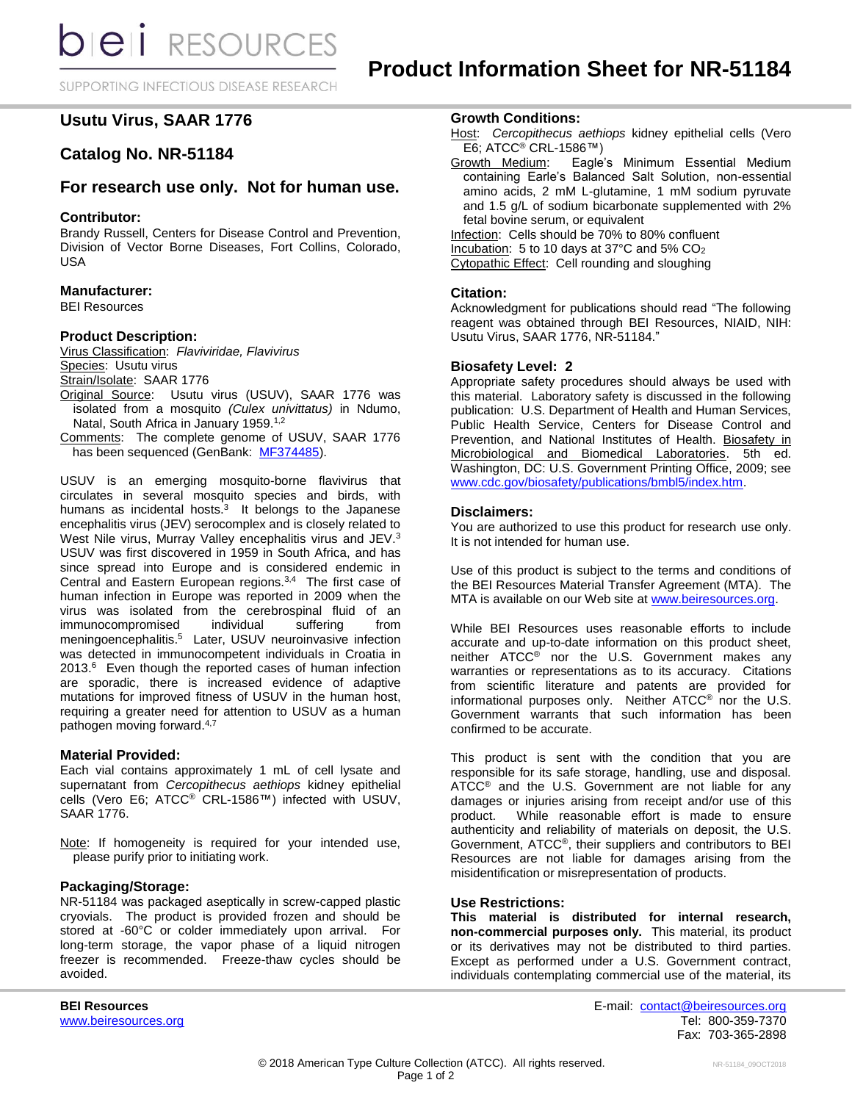SUPPORTING INFECTIOUS DISEASE RESEARCH

# **Usutu Virus, SAAR 1776**

## **Catalog No. NR-51184**

## **For research use only. Not for human use.**

## **Contributor:**

Brandy Russell, Centers for Disease Control and Prevention, Division of Vector Borne Diseases, Fort Collins, Colorado, USA

## **Manufacturer:**

BEI Resources

## **Product Description:**

Virus Classification: *Flaviviridae, Flavivirus* Species: Usutu virus Strain/Isolate: SAAR 1776

- Original Source: Usutu virus (USUV), SAAR 1776 was isolated from a mosquito *(Culex univittatus)* in Ndumo, Natal, South Africa in January 1959.<sup>1,2</sup>
- Comments: The complete genome of USUV, SAAR 1776 has been sequenced (GenBank: [MF374485\)](https://www.ncbi.nlm.nih.gov/nucleotide/MF374485.1?report=genbank&log$=nuclalign&blast_rank=1&RID=UTW0KC0B114).

USUV is an emerging mosquito-borne flavivirus that circulates in several mosquito species and birds, with humans as incidental hosts. $3$  It belongs to the Japanese encephalitis virus (JEV) serocomplex and is closely related to West Nile virus, Murray Valley encephalitis virus and JEV.<sup>3</sup> USUV was first discovered in 1959 in South Africa, and has since spread into Europe and is considered endemic in Central and Eastern European regions.<sup>3,4</sup> The first case of human infection in Europe was reported in 2009 when the virus was isolated from the cerebrospinal fluid of an immunocompromised individual suffering from meningoencephalitis. 5 Later, USUV neuroinvasive infection was detected in immunocompetent individuals in Croatia in 2013.<sup>6</sup> Even though the reported cases of human infection are sporadic, there is increased evidence of adaptive mutations for improved fitness of USUV in the human host, requiring a greater need for attention to USUV as a human pathogen moving forward.<sup>4,7</sup>

#### **Material Provided:**

Each vial contains approximately 1 mL of cell lysate and supernatant from *Cercopithecus aethiops* kidney epithelial cells (Vero E6; ATCC® CRL-1586™) infected with USUV, SAAR 1776.

Note: If homogeneity is required for your intended use, please purify prior to initiating work.

## **Packaging/Storage:**

NR-51184 was packaged aseptically in screw-capped plastic cryovials. The product is provided frozen and should be stored at -60°C or colder immediately upon arrival. For long-term storage, the vapor phase of a liquid nitrogen freezer is recommended. Freeze-thaw cycles should be avoided.

**Growth Conditions:**

- Host: *Cercopithecus aethiops* kidney epithelial cells (Vero  $\overline{E6}$ ; ATCC<sup>®</sup> CRL-1586™)
- Growth Medium: Eagle's Minimum Essential Medium containing Earle's Balanced Salt Solution, non-essential amino acids, 2 mM L-glutamine, 1 mM sodium pyruvate and 1.5 g/L of sodium bicarbonate supplemented with 2% fetal bovine serum, or equivalent

Infection: Cells should be 70% to 80% confluent Incubation: 5 to 10 days at 37 $\degree$ C and 5% CO<sub>2</sub> Cytopathic Effect: Cell rounding and sloughing

#### **Citation:**

Acknowledgment for publications should read "The following reagent was obtained through BEI Resources, NIAID, NIH: Usutu Virus, SAAR 1776, NR-51184."

#### **Biosafety Level: 2**

Appropriate safety procedures should always be used with this material. Laboratory safety is discussed in the following publication: U.S. Department of Health and Human Services, Public Health Service, Centers for Disease Control and Prevention, and National Institutes of Health. Biosafety in Microbiological and Biomedical Laboratories. 5th ed. Washington, DC: U.S. Government Printing Office, 2009; see [www.cdc.gov/biosafety/publications/bmbl5/index.htm.](http://www.cdc.gov/biosafety/publications/bmbl5/index.htm)

#### **Disclaimers:**

You are authorized to use this product for research use only. It is not intended for human use.

Use of this product is subject to the terms and conditions of the BEI Resources Material Transfer Agreement (MTA). The MTA is available on our Web site at [www.beiresources.org.](http://www.beiresources.org/)

While BEI Resources uses reasonable efforts to include accurate and up-to-date information on this product sheet, neither ATCC® nor the U.S. Government makes any warranties or representations as to its accuracy. Citations from scientific literature and patents are provided for informational purposes only. Neither ATCC® nor the U.S. Government warrants that such information has been confirmed to be accurate.

This product is sent with the condition that you are responsible for its safe storage, handling, use and disposal. ATCC<sup>®</sup> and the U.S. Government are not liable for any damages or injuries arising from receipt and/or use of this product. While reasonable effort is made to ensure authenticity and reliability of materials on deposit, the U.S. Government, ATCC®, their suppliers and contributors to BEI Resources are not liable for damages arising from the misidentification or misrepresentation of products.

#### **Use Restrictions:**

**This material is distributed for internal research, non-commercial purposes only.** This material, its product or its derivatives may not be distributed to third parties. Except as performed under a U.S. Government contract, individuals contemplating commercial use of the material, its

**BEI Resources** E-mail: [contact@beiresources.org](mailto:contact@beiresources.org) [www.beiresources.org](http://www.beiresources.org/) and the control of the control of the control of the control of the control of the control of the control of the control of the control of the control of the control of the control of the control of th Fax: 703-365-2898